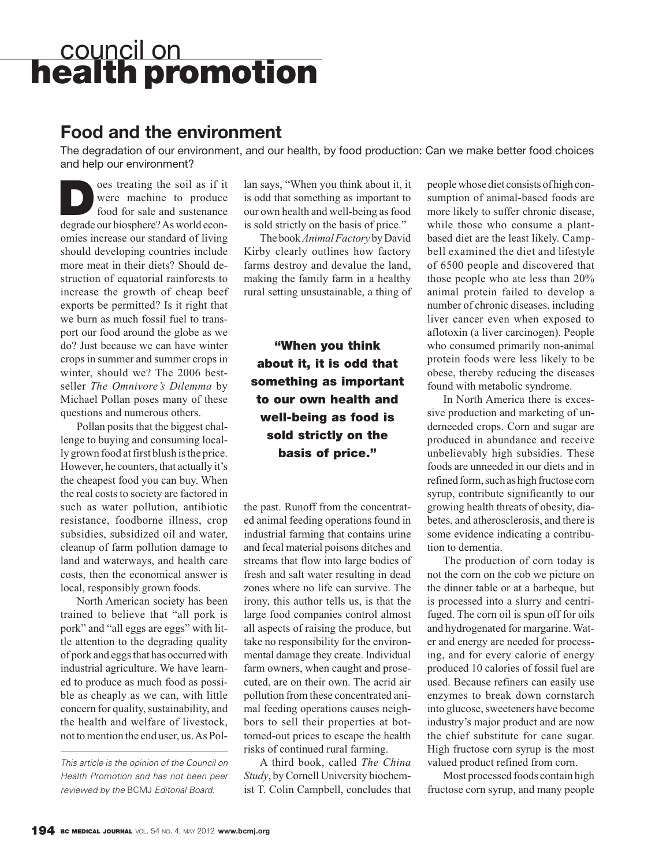## council on **health promotion**

## **Food and the environment**

The degradation of our environment, and our health, by food production: Can we make better food choices and help our environment?

**D** oes treating the soil as if it<br>were machine to produce<br>food for sale and sustenance were machine to produce food for sale and sustenance degrade our biosphere? As world economies increase our standard of living should developing countries include more meat in their diets? Should destruction of equatorial rainforests to increase the growth of cheap beef exports be permitted? Is it right that we burn as much fossil fuel to transport our food around the globe as we do? Just because we can have winter crops in summer and summer crops in winter, should we? The 2006 bestseller *The Omnivore's Dilemma* by Michael Pollan poses many of these questions and numerous others.

Pollan posits that the biggest challenge to buying and consuming locally grown food at first blush is the price. However, he counters, that actually it's the cheapest food you can buy. When the real costs to society are factored in such as water pollution, antibiotic resistance, foodborne illness, crop subsidies, subsidized oil and water, cleanup of farm pollution damage to land and waterways, and health care costs, then the economical answer is local, responsibly grown foods.

North American society has been trained to believe that "all pork is pork" and "all eggs are eggs" with little attention to the degrading quality of pork and eggs that has occurred with industrial agriculture. We have learned to produce as much food as possible as cheaply as we can, with little concern for quality, sustainability, and the health and welfare of livestock, not to mention the end user, us. As Pol-

lan says, "When you think about it, it is odd that something as important to our own health and well-being as food is sold strictly on the basis of price."

The book *Animal Factory* by David Kirby clearly outlines how factory farms destroy and devalue the land, making the family farm in a healthy rural setting unsustainable, a thing of

**"When you think about it, it is odd that something as important to our own health and well-being as food is sold strictly on the basis of price."** 

the past. Runoff from the concentrated animal feeding operations found in industrial farming that contains urine and fecal material poisons ditches and streams that flow into large bodies of fresh and salt water resulting in dead zones where no life can survive. The irony, this author tells us, is that the large food companies control almost all aspects of raising the produce, but take no responsibility for the environmental damage they create. Individual farm owners, when caught and prosecuted, are on their own. The acrid air pollution from these concentrated animal feeding operations causes neigh bors to sell their properties at bottomed-out prices to escape the health risks of continued rural farming.

A third book, called *The China Study*, by Cornell University biochemist T. Colin Campbell, concludes that people whose diet consists of high consumption of animal-based foods are more likely to suffer chronic disease, while those who consume a plantbased diet are the least likely. Campbell examined the diet and lifestyle of 6500 people and discovered that those people who ate less than 20% animal protein failed to develop a number of chronic diseases, including liver cancer even when exposed to aflotoxin (a liver carcinogen). People who consumed primarily non-animal protein foods were less likely to be obese, thereby reducing the diseases found with metabolic syndrome.

In North America there is excessive production and marketing of underneeded crops. Corn and sugar are produced in abundance and receive unbelievably high subsidies. These foods are unneeded in our diets and in refined form, such as high fructose corn syrup, contribute significantly to our growing health threats of obesity, diabetes, and atherosclerosis, and there is some evidence indicating a contribution to dementia.

The production of corn today is not the corn on the cob we picture on the dinner table or at a barbeque, but is processed into a slurry and centrifuged. The corn oil is spun off for oils and hydrogenated for margarine. Water and energy are needed for processing, and for every calorie of energy produced 10 calories of fossil fuel are used. Because refiners can easily use enzymes to break down cornstarch into glucose, sweeteners have become industry's major product and are now the chief substitute for cane sugar. High fructose corn syrup is the most valued product refined from corn.

Most processed foods contain high fructose corn syrup, and many people

This article is the opinion of the Council on Health Promotion and has not been peer reviewed by the BCMJ Editorial Board.